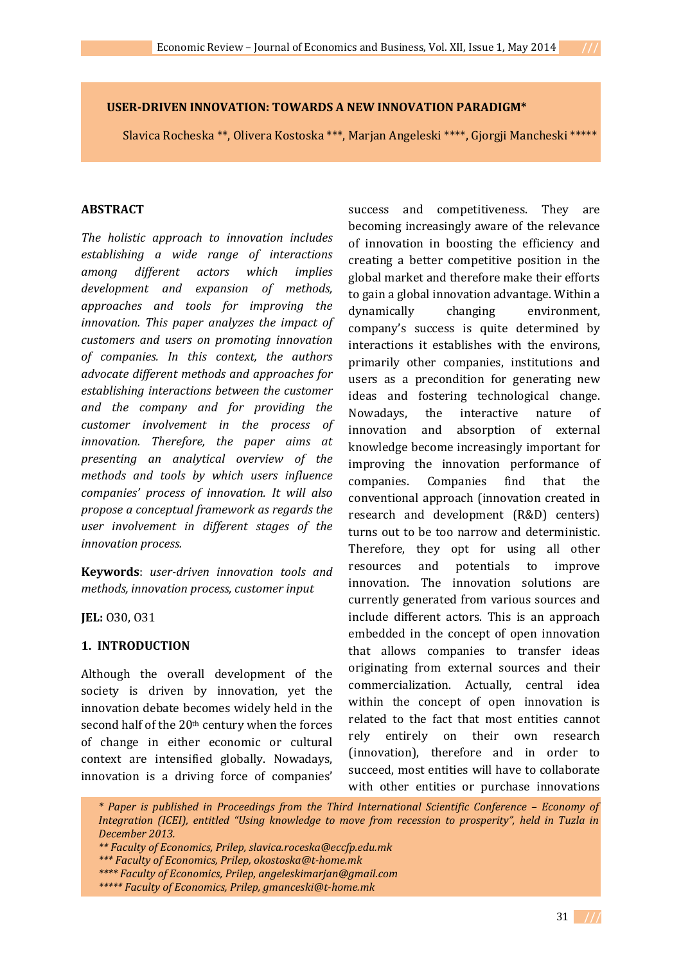### **USER-DRIVEN INNOVATION: TOWARDS A NEW INNOVATION PARADIGM\***

Slavica Rocheska \*\*, Olivera Kostoska \*\*\*, Marjan Angeleski \*\*\*\*, Gjorgji Mancheski \*\*\*\*\*

### **ABSTRACT**

*The holistic approach to innovation includes establishing a wide range of interactions among different actors which implies development and expansion of methods, approaches and tools for improving the innovation. This paper analyzes the impact of customers and users on promoting innovation of companies. In this context, the authors advocate different methods and approaches for establishing interactions between the customer and the company and for providing the customer involvement in the process of innovation. Therefore, the paper aims at presenting an analytical overview of the methods and tools by which users influence companies' process of innovation. It will also propose a conceptual framework as regards the user involvement in different stages of the innovation process.* 

**Keywords**: *user-driven innovation tools and methods, innovation process, customer input* 

**JEL:** O30, O31

### **1. INTRODUCTION**

Although the overall development of the society is driven by innovation, yet the innovation debate becomes widely held in the second half of the 20th century when the forces of change in either economic or cultural context are intensified globally. Nowadays, innovation is a driving force of companies'

success and competitiveness. They are becoming increasingly aware of the relevance of innovation in boosting the efficiency and creating a better competitive position in the global market and therefore make their efforts to gain a global innovation advantage. Within a dynamically changing environment, company's success is quite determined by interactions it establishes with the environs, primarily other companies, institutions and users as a precondition for generating new ideas and fostering technological change. Nowadays, the interactive nature of innovation and absorption of external knowledge become increasingly important for improving the innovation performance of companies. Companies find that the conventional approach (innovation created in research and development (R&D) centers) turns out to be too narrow and deterministic. Therefore, they opt for using all other resources and potentials to improve innovation. The innovation solutions are currently generated from various sources and include different actors. This is an approach embedded in the concept of open innovation that allows companies to transfer ideas originating from external sources and their commercialization. Actually, central idea within the concept of open innovation is related to the fact that most entities cannot rely entirely on their own research (innovation), therefore and in order to succeed, most entities will have to collaborate with other entities or purchase innovations

 *\* Paper is published in Proceedings from the Third International Scientific Conference – Economy of Integration (ICEI), entitled "Using knowledge to move from recession to prosperity", held in Tuzla in December 2013.* 

 *\*\*\* Faculty of Economics, Prilep, okostoska@t-home.mk* 

 *<sup>\*\*</sup> Faculty of Economics, Prilep, slavica.roceska@eccfp.edu.mk* 

 *<sup>\*\*\*\*</sup> Faculty of Economics, Prilep, angeleskimarjan@gmail.com* 

 *<sup>\*\*\*\*\*</sup> Faculty of Economics, Prilep, gmanceski@t-home.mk*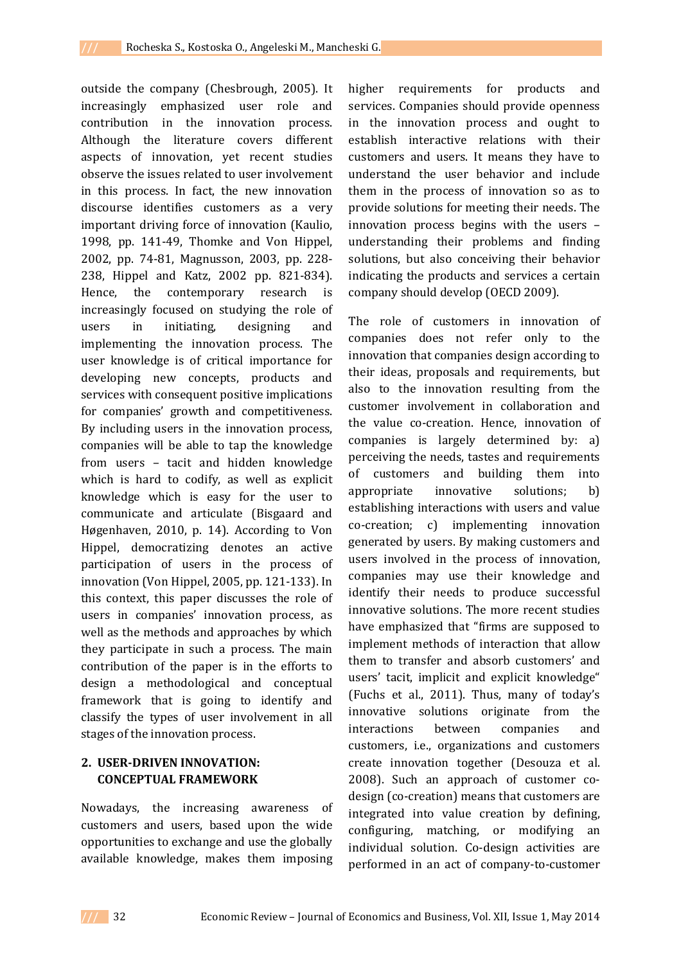outside the company (Chesbrough, 2005). It increasingly emphasized user role and contribution in the innovation process. Although the literature covers different aspects of innovation, yet recent studies observe the issues related to user involvement in this process. In fact, the new innovation discourse identifies customers as a very important driving force of innovation (Kaulio, 1998, pp. 141-49, Thomke and Von Hippel, 2002, pp. 74-81, Magnusson, 2003, pp. 228- 238, Hippel and Katz, 2002 pp. 821-834). Hence, the contemporary research is increasingly focused on studying the role of users in initiating, designing and implementing the innovation process. The user knowledge is of critical importance for developing new concepts, products and services with consequent positive implications for companies' growth and competitiveness. By including users in the innovation process, companies will be able to tap the knowledge from users – tacit and hidden knowledge which is hard to codify, as well as explicit knowledge which is easy for the user to communicate and articulate (Bisgaard and Høgenhaven, 2010, p. 14). According to Von Hippel, democratizing denotes an active participation of users in the process of innovation (Von Hippel, 2005, pp. 121-133). In this context, this paper discusses the role of users in companies' innovation process, as well as the methods and approaches by which they participate in such a process. The main contribution of the paper is in the efforts to design a methodological and conceptual framework that is going to identify and classify the types of user involvement in all stages of the innovation process.

## **2. USER-DRIVEN INNOVATION: CONCEPTUAL FRAMEWORK**

Nowadays, the increasing awareness of customers and users, based upon the wide opportunities to exchange and use the globally available knowledge, makes them imposing

higher requirements for products and services. Companies should provide openness in the innovation process and ought to establish interactive relations with their customers and users. It means they have to understand the user behavior and include them in the process of innovation so as to provide solutions for meeting their needs. The innovation process begins with the users – understanding their problems and finding solutions, but also conceiving their behavior indicating the products and services a certain company should develop (OECD 2009).

The role of customers in innovation of companies does not refer only to the innovation that companies design according to their ideas, proposals and requirements, but also to the innovation resulting from the customer involvement in collaboration and the value co-creation. Hence, innovation of companies is largely determined by: a) perceiving the needs, tastes and requirements of customers and building them into appropriate innovative solutions; b) establishing interactions with users and value co-creation; c) implementing innovation generated by users. By making customers and users involved in the process of innovation, companies may use their knowledge and identify their needs to produce successful innovative solutions. The more recent studies have emphasized that "firms are supposed to implement methods of interaction that allow them to transfer and absorb customers' and users' tacit, implicit and explicit knowledge" (Fuchs et al., 2011). Thus, many of today's innovative solutions originate from the interactions between companies and customers, i.e., organizations and customers create innovation together (Desouza et al. 2008). Such an approach of customer codesign (co-creation) means that customers are integrated into value creation by defining, configuring, matching, or modifying an individual solution. Co-design activities are performed in an act of company-to-customer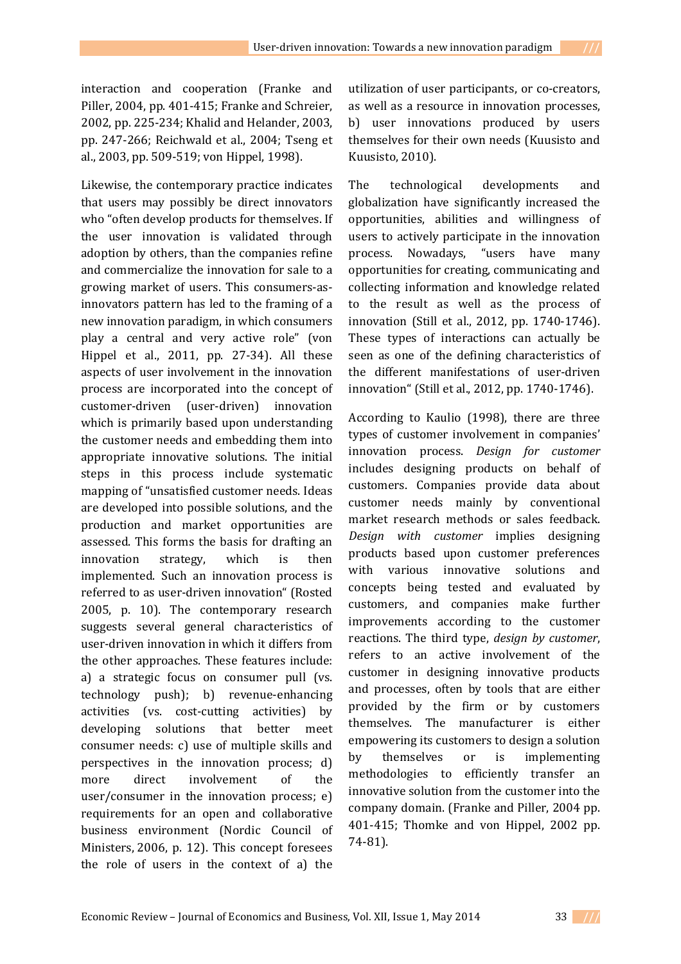interaction and cooperation (Franke and Piller, 2004, pp. 401-415; Franke and Schreier, 2002, pp. 225-234; Khalid and Helander, 2003, pp. 247-266; Reichwald et al., 2004; Tseng et al., 2003, pp. 509-519; von Hippel, 1998).

Likewise, the contemporary practice indicates that users may possibly be direct innovators who "often develop products for themselves. If the user innovation is validated through adoption by others, than the companies refine and commercialize the innovation for sale to a growing market of users. This consumers-asinnovators pattern has led to the framing of a new innovation paradigm, in which consumers play a central and very active role" (von Hippel et al., 2011, pp. 27-34). All these aspects of user involvement in the innovation process are incorporated into the concept of customer-driven (user-driven) innovation which is primarily based upon understanding the customer needs and embedding them into appropriate innovative solutions. The initial steps in this process include systematic mapping of "unsatisfied customer needs. Ideas are developed into possible solutions, and the production and market opportunities are assessed. This forms the basis for drafting an innovation strategy, which is then implemented. Such an innovation process is referred to as user-driven innovation" (Rosted 2005, p. 10). The contemporary research suggests several general characteristics of user-driven innovation in which it differs from the other approaches. These features include: a) a strategic focus on consumer pull (vs. technology push); b) revenue-enhancing activities (vs. cost-cutting activities) by developing solutions that better meet consumer needs: c) use of multiple skills and perspectives in the innovation process; d) more direct involvement of the user/consumer in the innovation process; e) requirements for an open and collaborative business environment (Nordic Council of Ministers, 2006, p. 12). This concept foresees the role of users in the context of a) the

utilization of user participants, or co-creators, as well as a resource in innovation processes, b) user innovations produced by users themselves for their own needs (Kuusisto and Kuusisto, 2010).

The technological developments and globalization have significantly increased the opportunities, abilities and willingness of users to actively participate in the innovation process. Nowadays, "users have many opportunities for creating, communicating and collecting information and knowledge related to the result as well as the process of innovation (Still et al., 2012, pp. 1740-1746). These types of interactions can actually be seen as one of the defining characteristics of the different manifestations of user-driven innovation" (Still et al., 2012, pp. 1740-1746).

According to Kaulio (1998), there are three types of customer involvement in companies' innovation process. *Design for customer* includes designing products on behalf of customers. Companies provide data about customer needs mainly by conventional market research methods or sales feedback. *Design with customer* implies designing products based upon customer preferences with various innovative solutions and concepts being tested and evaluated by customers, and companies make further improvements according to the customer reactions. The third type, *design by customer*, refers to an active involvement of the customer in designing innovative products and processes, often by tools that are either provided by the firm or by customers themselves. The manufacturer is either empowering its customers to design a solution by themselves or is implementing methodologies to efficiently transfer an innovative solution from the customer into the company domain. (Franke and Piller, 2004 pp. 401-415; Thomke and von Hippel, 2002 pp. 74-81).

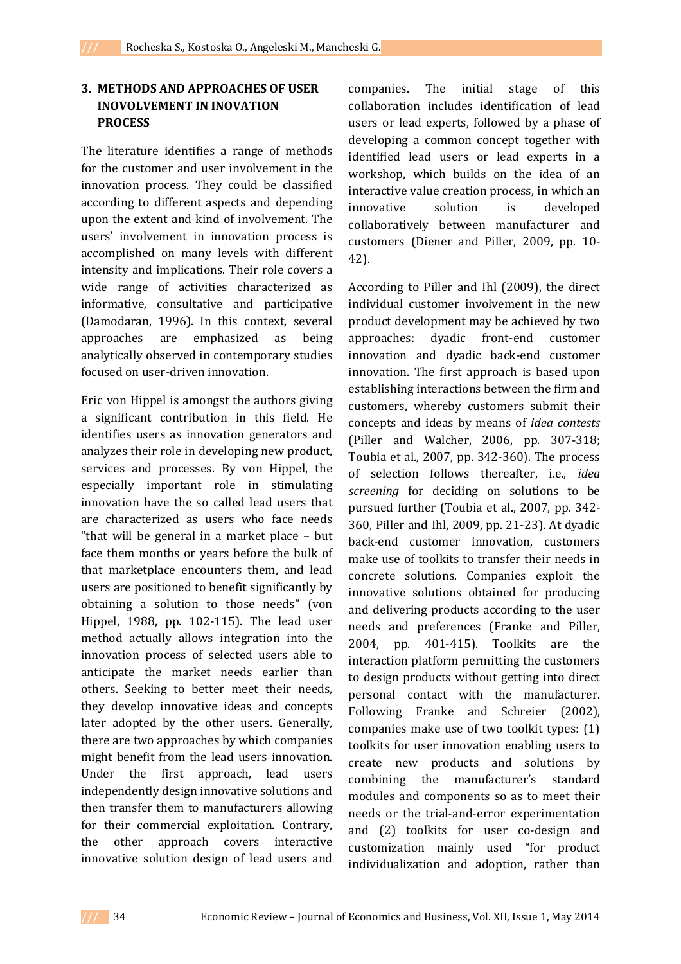# **3. METHODS AND APPROACHES OF USER INOVOLVEMENT IN INOVATION PROCESS**

The literature identifies a range of methods for the customer and user involvement in the innovation process. They could be classified according to different aspects and depending upon the extent and kind of involvement. The users' involvement in innovation process is accomplished on many levels with different intensity and implications. Their role covers a wide range of activities characterized as informative, consultative and participative (Damodaran, 1996). In this context, several approaches are emphasized as being analytically observed in contemporary studies focused on user-driven innovation.

Eric von Hippel is amongst the authors giving a significant contribution in this field. He identifies users as innovation generators and analyzes their role in developing new product, services and processes. By von Hippel, the especially important role in stimulating innovation have the so called lead users that are characterized as users who face needs "that will be general in a market place – but face them months or years before the bulk of that marketplace encounters them, and lead users are positioned to benefit significantly by obtaining a solution to those needs" (von Hippel, 1988, pp. 102-115). The lead user method actually allows integration into the innovation process of selected users able to anticipate the market needs earlier than others. Seeking to better meet their needs, they develop innovative ideas and concepts later adopted by the other users. Generally, there are two approaches by which companies might benefit from the lead users innovation. Under the first approach, lead users independently design innovative solutions and then transfer them to manufacturers allowing for their commercial exploitation. Contrary, the other approach covers interactive innovative solution design of lead users and companies. The initial stage of this collaboration includes identification of lead users or lead experts, followed by a phase of developing a common concept together with identified lead users or lead experts in a workshop, which builds on the idea of an interactive value creation process, in which an innovative solution is developed collaboratively between manufacturer and customers (Diener and Piller, 2009, pp. 10- 42).

According to Piller and Ihl (2009), the direct individual customer involvement in the new product development may be achieved by two approaches: dyadic front-end customer innovation and dyadic back-end customer innovation. The first approach is based upon establishing interactions between the firm and customers, whereby customers submit their concepts and ideas by means of *idea contests*  (Piller and Walcher, 2006, pp. 307-318; Toubia et al., 2007, pp. 342-360). The process of selection follows thereafter, i.e., *idea screening* for deciding on solutions to be pursued further (Toubia et al., 2007, pp. 342- 360, Piller and Ihl, 2009, pp. 21-23). At dyadic back-end customer innovation, customers make use of toolkits to transfer their needs in concrete solutions. Companies exploit the innovative solutions obtained for producing and delivering products according to the user needs and preferences (Franke and Piller, 2004, pp. 401-415). Toolkits are the interaction platform permitting the customers to design products without getting into direct personal contact with the manufacturer. Following Franke and Schreier (2002), companies make use of two toolkit types: (1) toolkits for user innovation enabling users to create new products and solutions by combining the manufacturer's standard modules and components so as to meet their needs or the trial-and-error experimentation and (2) toolkits for user co-design and customization mainly used "for product individualization and adoption, rather than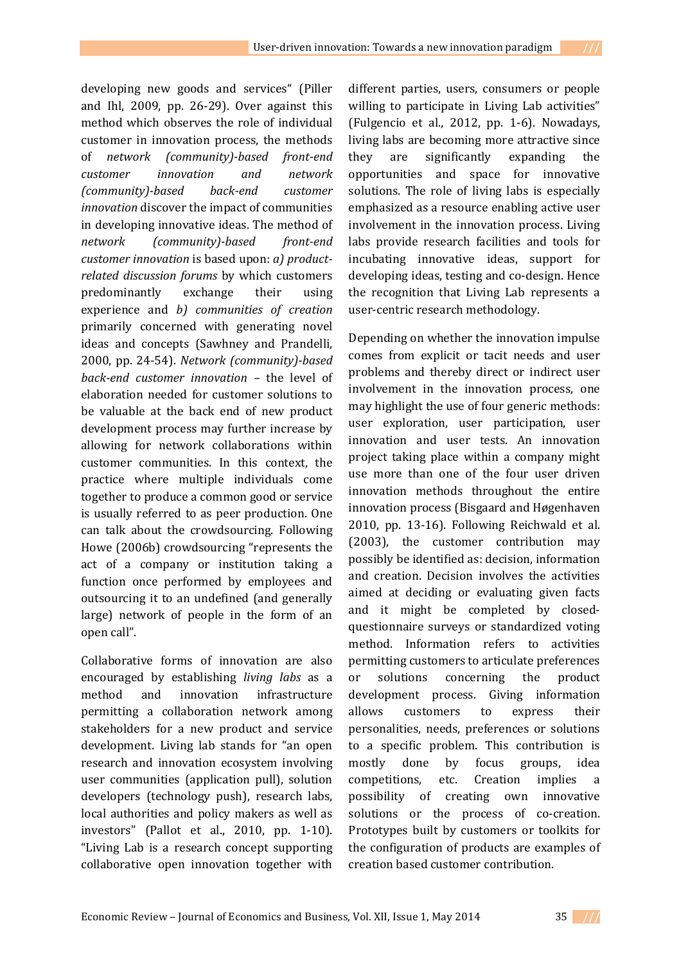developing new goods and services" (Piller and Ihl, 2009, pp. 26-29). Over against this method which observes the role of individual customer in innovation process, the methods of *network (community)-based front-end customer innovation and network (community)-based back-end customer innovation* discover the impact of communities in developing innovative ideas. The method of *network (community)-based front-end customer innovation* is based upon: *а) productrelated discussion forums* by which customers predominantly exchange their using experience and *b) communities of creation*  primarily concerned with generating novel ideas and concepts (Sawhney and Prandelli, 2000, pp. 24-54). *Network (community)-based back-end customer innovation –* the level of elaboration needed for customer solutions to be valuable at the back end of new product development process may further increase by allowing for network collaborations within customer communities. In this context, the practice where multiple individuals come together to produce a common good or service is usually referred to as peer production. One can talk about the crowdsourcing. Following Howe (2006b) crowdsourcing "represents the act of a company or institution taking a function once performed by employees and outsourcing it to an undefined (and generally large) network of people in the form of an open call".

Collaborative forms of innovation are also encouraged by establishing *living labs* as a method and innovation infrastructure permitting a collaboration network among stakeholders for a new product and service development. Living lab stands for "an open research and innovation ecosystem involving user communities (application pull), solution developers (technology push), research labs, local authorities and policy makers as well as investors" (Pallot et al., 2010, pp. 1-10). "Living Lab is a research concept supporting collaborative open innovation together with

different parties, users, consumers or people willing to participate in Living Lab activities" (Fulgencio et al., 2012, pp. 1-6). Nowadays, living labs are becoming more attractive since they are significantly expanding the opportunities and space for innovative solutions. The role of living labs is especially emphasized as a resource enabling active user involvement in the innovation process. Living labs provide research facilities and tools for incubating innovative ideas, support for developing ideas, testing and co-design. Hence the recognition that Living Lab represents a user-centric research methodology.

Depending on whether the innovation impulse comes from explicit or tacit needs and user problems and thereby direct or indirect user involvement in the innovation process, one may highlight the use of four generic methods: user exploration, user participation, user innovation and user tests. An innovation project taking place within a company might use more than one of the four user driven innovation methods throughout the entire innovation process (Bisgaard and Høgenhaven 2010, pp. 13-16). Following Reichwald et al. (2003), the customer contribution may possibly be identified as: decision, information and creation. Decision involves the activities aimed at deciding or evaluating given facts and it might be completed by closedquestionnaire surveys or standardized voting method. Information refers to activities permitting customers to articulate preferences or solutions concerning the product development process. Giving information allows customers to express their personalities, needs, preferences or solutions to a specific problem. This contribution is mostly done by focus groups, idea competitions, etc. Creation implies a possibility of creating own innovative solutions or the process of co-creation. Prototypes built by customers or toolkits for the configuration of products are examples of creation based customer contribution.

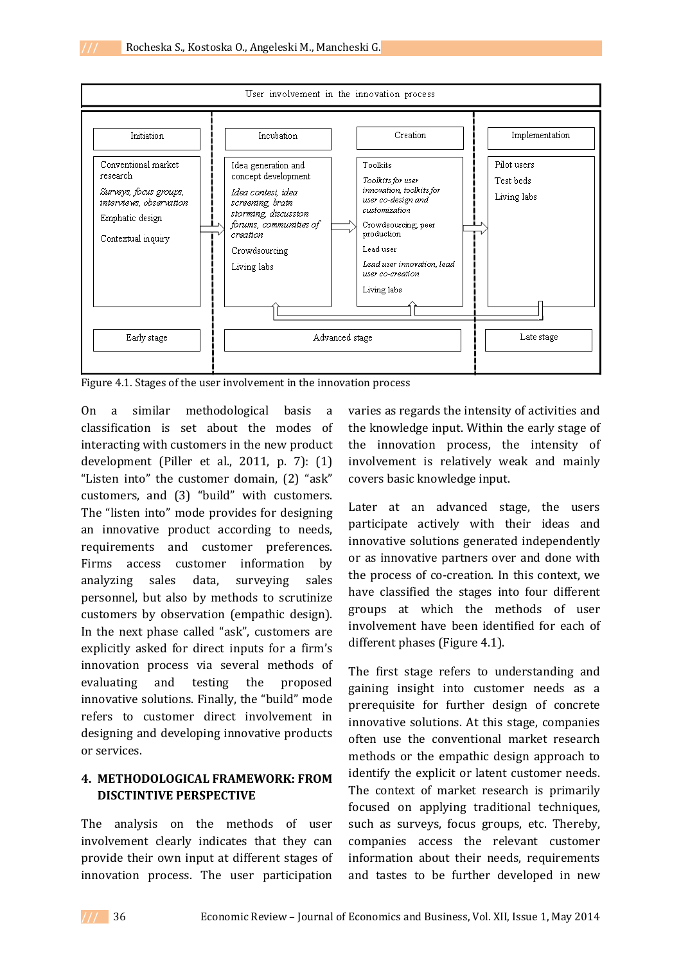

Figure 4.1. Stages of the user involvement in the innovation process

On a similar methodological basis a classification is set about the modes of interacting with customers in the new product development (Piller et al., 2011, p. 7): (1) "Listen into" the customer domain, (2) "ask" customers, and (3) "build" with customers. The "listen into" mode provides for designing an innovative product according to needs, requirements and customer preferences. Firms access customer information by analyzing sales data, surveying sales personnel, but also by methods to scrutinize customers by observation (empathic design). In the next phase called "ask", customers are explicitly asked for direct inputs for a firm's innovation process via several methods of evaluating and testing the proposed innovative solutions. Finally, the "build" mode refers to customer direct involvement in designing and developing innovative products or services.

## **4. METHODOLOGICAL FRAMEWORK: FROM DISCTINTIVE PERSPECTIVE**

The analysis on the methods of user involvement clearly indicates that they can provide their own input at different stages of innovation process. The user participation

varies as regards the intensity of activities and the knowledge input. Within the early stage of the innovation process, the intensity of involvement is relatively weak and mainly covers basic knowledge input.

Later at an advanced stage, the users participate actively with their ideas and innovative solutions generated independently or as innovative partners over and done with the process of co-creation. In this context, we have classified the stages into four different groups at which the methods of user involvement have been identified for each of different phases (Figure 4.1).

The first stage refers to understanding and gaining insight into customer needs as a prerequisite for further design of concrete innovative solutions. At this stage, companies often use the conventional market research methods or the empathic design approach to identify the explicit or latent customer needs. The context of market research is primarily focused on applying traditional techniques, such as surveys, focus groups, etc. Thereby, companies access the relevant customer information about their needs, requirements and tastes to be further developed in new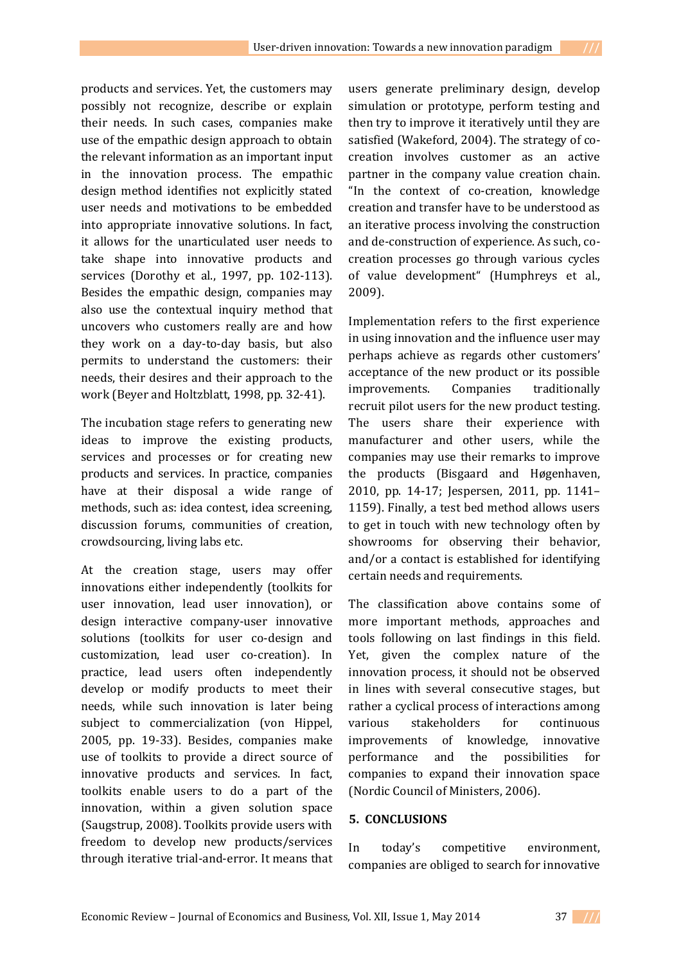products and services. Yet, the customers may possibly not recognize, describe or explain their needs. In such cases, companies make use of the empathic design approach to obtain the relevant information as an important input in the innovation process. The empathic design method identifies not explicitly stated user needs and motivations to be embedded into appropriate innovative solutions. In fact, it allows for the unarticulated user needs to take shape into innovative products and services (Dorothy et al., 1997, pp. 102-113). Besides the empathic design, companies may also use the contextual inquiry method that uncovers who customers really are and how they work on a day-to-day basis, but also permits to understand the customers: their needs, their desires and their approach to the work (Beyer and Holtzblatt, 1998, pp. 32-41).

The incubation stage refers to generating new ideas to improve the existing products, services and processes or for creating new products and services. In practice, companies have at their disposal a wide range of methods, such as: idea contest, idea screening, discussion forums, communities of creation, crowdsourcing, living labs etc.

At the creation stage, users may offer innovations either independently (toolkits for user innovation, lead user innovation), or design interactive company-user innovative solutions (toolkits for user co-design and customization, lead user co-creation). In practice, lead users often independently develop or modify products to meet their needs, while such innovation is later being subject to commercialization (von Hippel, 2005, pp. 19-33). Besides, companies make use of toolkits to provide a direct source of innovative products and services. In fact, toolkits enable users to do a part of the innovation, within a given solution space (Saugstrup, 2008). Toolkits provide users with freedom to develop new products/services through iterative trial-and-error. It means that

users generate preliminary design, develop simulation or prototype, perform testing and then try to improve it iteratively until they are satisfied (Wakeford, 2004). The strategy of cocreation involves customer as an active partner in the company value creation chain. "In the context of co-creation, knowledge creation and transfer have to be understood as an iterative process involving the construction and de-construction of experience. As such, cocreation processes go through various cycles of value development" (Humphreys et al., 2009).

Implementation refers to the first experience in using innovation and the influence user may perhaps achieve as regards other customers' acceptance of the new product or its possible improvements. Companies traditionally recruit pilot users for the new product testing. The users share their experience with manufacturer and other users, while the companies may use their remarks to improve the products (Bisgaard and Høgenhaven, 2010, pp. 14-17; Jespersen, 2011, pp. 1141– 1159). Finally, a test bed method allows users to get in touch with new technology often by showrooms for observing their behavior, and/or a contact is established for identifying certain needs and requirements.

The classification above contains some of more important methods, approaches and tools following on last findings in this field. Yet, given the complex nature of the innovation process, it should not be observed in lines with several consecutive stages, but rather a cyclical process of interactions among various stakeholders for continuous improvements of knowledge, innovative performance and the possibilities for companies to expand their innovation space (Nordic Council of Ministers, 2006).

## **5. CONCLUSIONS**

In today's competitive environment, companies are obliged to search for innovative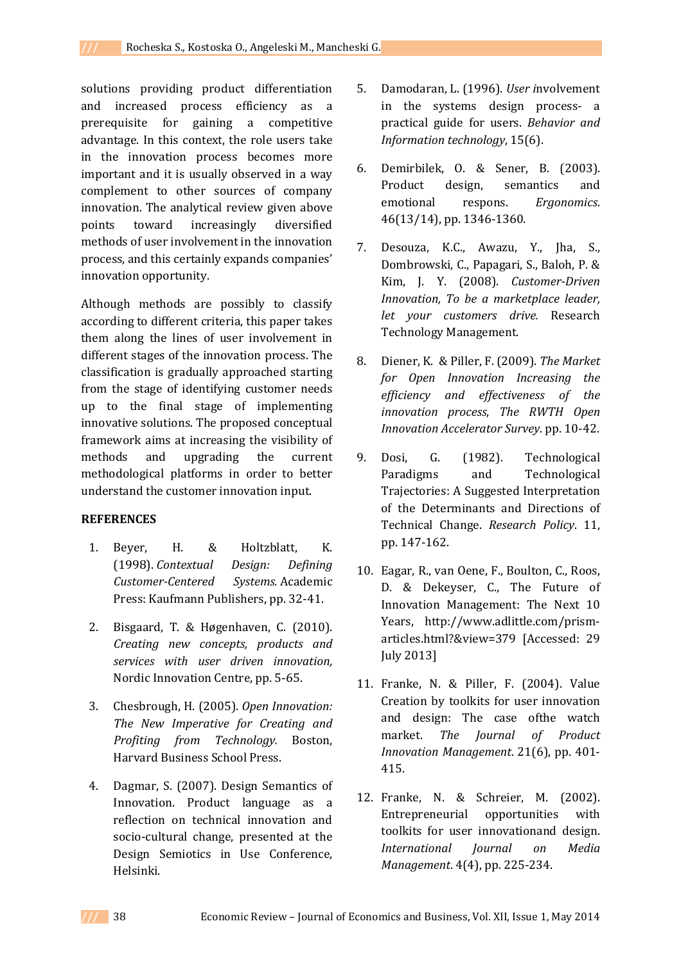solutions providing product differentiation and increased process efficiency as a prerequisite for gaining a competitive advantage. In this context, the role users take in the innovation process becomes more important and it is usually observed in a way complement to other sources of company innovation. The analytical review given above points toward increasingly diversified methods of user involvement in the innovation process, and this certainly expands companies' innovation opportunity.

Although methods are possibly to classify according to different criteria, this paper takes them along the lines of user involvement in different stages of the innovation process. The classification is gradually approached starting from the stage of identifying customer needs up to the final stage of implementing innovative solutions. The proposed conceptual framework aims at increasing the visibility of methods and upgrading the current methodological platforms in order to better understand the customer innovation input.

### **REFERENCES**

- 1. Beyer, H. & Holtzblatt, K. (1998). *Contextual Design: Defining Customer-Centered Systems.* Academic Press: Kaufmann Publishers, pp. 32-41.
- 2. Bisgaard, T. & Høgenhaven, C. (2010). *Creating new concepts, products and services with user driven innovation,* Nordic Innovation Centre, pp. 5-65.
- 3. Chesbrough, H. (2005). *Open Innovation: The New Imperative for Creating and Profiting from Technology.* Boston, Harvard Business School Press.
- 4. Dagmar, S. (2007). Design Semantics of Innovation. Product language as a reflection on technical innovation and socio-cultural change, presented at the Design Semiotics in Use Conference, Helsinki.
- 5. Damodaran, L. (1996). *User i*nvolvement in the systems design process- a practical guide for users. *Behavior and Information technology*, 15(6).
- 6. Demirbilek, O. & Sener, B. (2003). Product design, semantics and emotional respons. *Ergonomics*. 46(13/14), pp. 1346-1360.
- 7. Desouza, K.C., Awazu, Y., Jha, S., Dombrowski, C., Papagari, S., Baloh, P. & Kim, J. Y. (2008). *Customer-Driven Innovation, To be a marketplace leader, let your customers drive.* Research Technology Management.
- 8. Diener, K. & Piller, F. (2009). *The Market for Open Innovation Increasing the efficiency and effectiveness of the innovation process*, *The RWTH Open Innovation Accelerator Survey*. pp. 10-42.
- 9. Dosi, G. (1982). Technological Paradigms and Technological Trajectories: A Suggested Interpretation of the Determinants and Directions of Technical Change. *Research Policy*. 11, pp. 147-162.
- 10. Eagar, R., van Oene, F., Boulton, C., Roos, D. & Dekeyser, C., The Future of Innovation Management: The Next 10 Years, http://www.adlittle.com/prismarticles.html?&view=379 [Accessed: 29 July 2013]
- 11. Franke, N. & Piller, F. (2004). Value Creation by toolkits for user innovation and design: The case ofthe watch market. *The Journal of Product Innovation Management*. 21(6), pp. 401- 415.
- 12. Franke, N. & Schreier, M. (2002). Entrepreneurial opportunities with toolkits for user innovationand design. *International Journal on Media Management*. 4(4), pp. 225-234.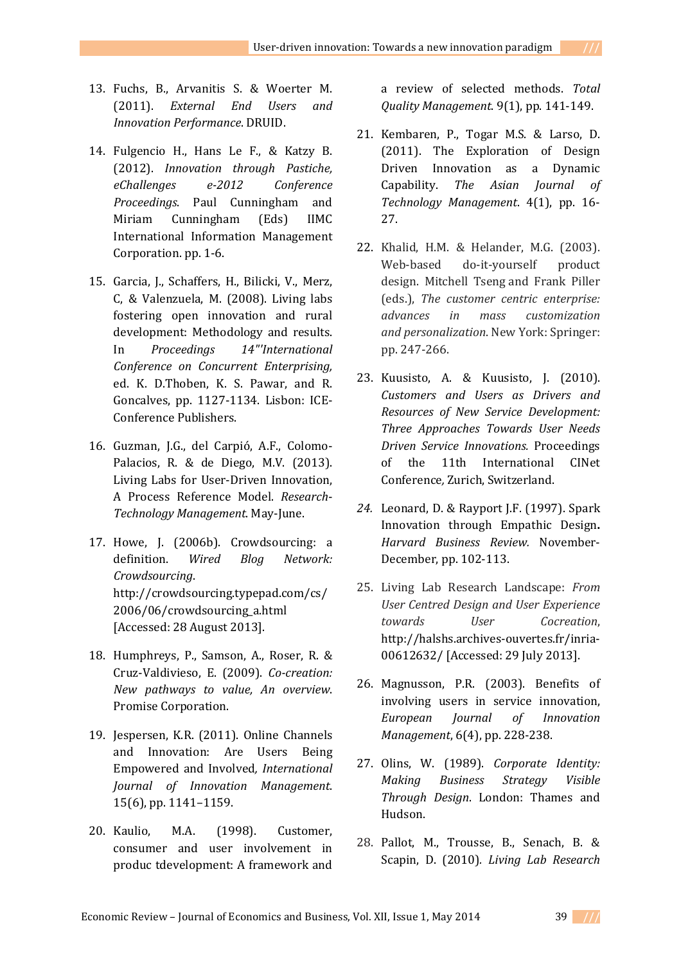- 13. Fuchs, B., Arvanitis S. & Woerter M. (2011). *External End Users and Innovation Performance*. DRUID.
- 14. Fulgencio H., Hans Le F., & Katzy B. (2012). *Innovation through Pastiche, eChallenges e-2012 Conference Proceedings*. Paul Cunningham and Miriam Cunningham (Eds) IIMC International Information Management Corporation. pp. 1-6.
- 15. Garcia, J., Schaffers, H., Bilicki, V., Merz, C, & Valenzuela, M. (2008). Living labs fostering open innovation and rural development: Methodology and results. In *Proceedings 14"'International Conference on Concurrent Enterprising,*  ed. K. D.Thoben, K. S. Pawar, and R. Goncalves, pp. 1127-1134. Lisbon: ICE-Conference Publishers.
- 16. Guzman, J.G., del Carpió, A.F., Colomo-Palacios, R. & de Diego, M.V. (2013). Living Labs for User-Driven Innovation, A Process Reference Model. *Research*-*Technology Management*. May-June.
- 17. Howe, J. (2006b). Crowdsourcing: a definition. *Wired Blog Network: Crowdsourcing*. http://crowdsourcing.typepad.com/cs/ 2006/06/crowdsourcing\_a.html [Accessed: 28 August 2013].
- 18. Humphreys, P., Samson, A., Roser, R. & Cruz-Valdivieso, E. (2009). *Co-creation: New pathways to value, An overview*. Promise Corporation.
- 19. Jespersen, K.R. (2011). Online Channels and Innovation: Are Users Being Empowered and Involved*, International Journal of Innovation Management*. 15(6), pp. 1141–1159.
- 20. Kaulio, M.A. (1998). Customer, consumer and user involvement in produc tdevelopment: A framework and

a review of selected methods. *Total Quality Management*. 9(1), pp. 141-149.

- 21. Kembaren, P., Togar M.S. & Larso, D. (2011). The Exploration of Design Driven Innovation as a Dynamic Capability. *The Asian Journal of Technology Management*. 4(1), pp. 16- 27.
- 22. Khalid, H.M. & Helander, M.G. (2003). Web-based do-it-yourself product design. Mitchell Tseng and Frank Piller (eds.), *The customer centric enterprise: advances in mass customization and personalization*. New York: Springer: pp. 247-266.
- 23. Kuusisto, A. & Kuusisto, J. (2010). *Customers and Users as Drivers and Resources of New Service Development: Three Approaches Towards User Needs Driven Service Innovations.* Proceedings of the 11th International CINet Conference*,* Zurich, Switzerland.
- *24.* Leonard, D. & Rayport J.F. (1997). Spark Innovation through Empathic Design**.**  *Harvard Business Review.* November-December, pp. 102-113.
- 25. Living Lab Research Landscape: *From User Centred Design and User Experience towards User Cocreation*, http://halshs.archives-ouvertes.fr/inria-00612632/ [Accessed: 29 July 2013].
- 26. Magnusson, P.R. (2003). Benefits of involving users in service innovation, *European Journal of Innovation Management*, 6(4), pp. 228-238.
- 27. Olins, W. (1989). *Corporate Identity: Making Business Strategy Visible Through Design*. London: Thames and Hudson.
- 28. Pallot, M., Trousse, B., Senach, B. & Scapin, D. (2010)*. Living Lab Research*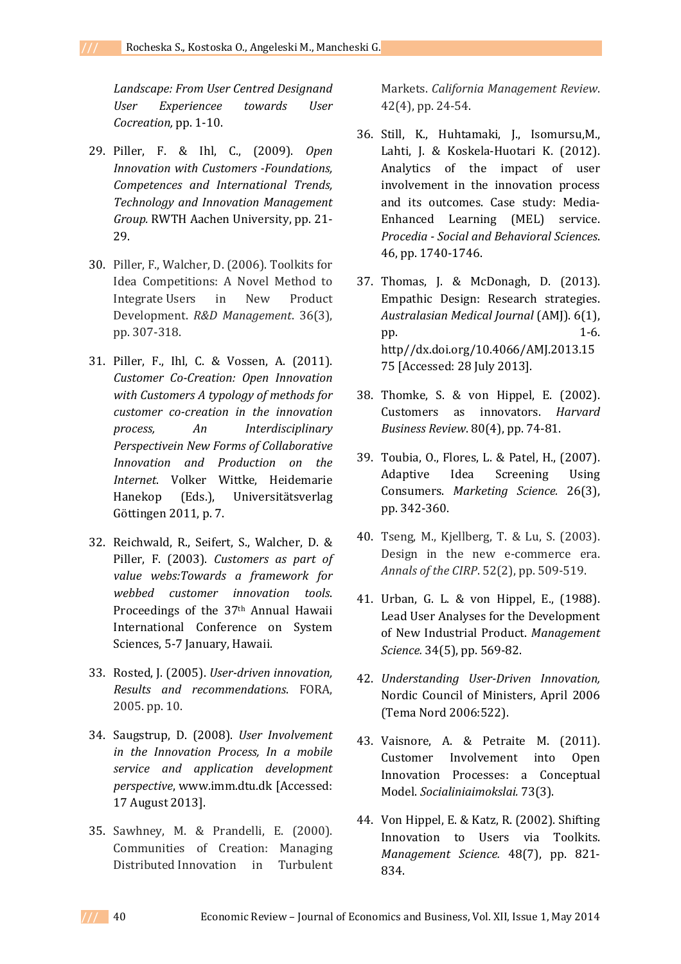*Landscape: From User Centred Designand User Experiencee towards User Cocreation,* pp. 1-10.

- 29. Piller, F. & Ihl, C., (2009). *Open Innovation with Customers -Foundations, Competences and International Trends, Technology and Innovation Management Group.* RWTH Aachen University, pp. 21- 29.
- 30. Piller, F., Walcher, D. (2006). Toolkits for Idea Competitions: A Novel Method to Integrate Users in New Product Development. *R&D Management*. 36(3), pp. 307-318.
- 31. Piller, F., Ihl, C. & Vossen, A. (2011). *Customer Co-Creation: Open Innovation with Customers A typology of methods for customer co-creation in the innovation process, An Interdisciplinary Perspectivein New Forms of Collaborative Innovation and Production on the Internet*. Volker Wittke, Heidemarie Hanekop (Eds.), Universitätsverlag Göttingen 2011, p. 7.
- 32. Reichwald, R., Seifert, S., Walcher, D. & Piller, F. (2003). *Customers as part of value webs:Towards a framework for webbed customer innovation tools*. Proceedings of the 37th Annual Hawaii International Conference on System Sciences, 5-7 January, Hawaii.
- 33. Rosted, J. (2005). *User-driven innovation, Results and recommendations*. FORA, 2005. pp. 10.
- 34. Saugstrup, D. (2008). *User Involvement in the Innovation Process, In a mobile service and application development perspective*, www.imm.dtu.dk [Accessed: 17 August 2013].
- 35. Sawhney, M. & Prandelli, E. (2000). Communities of Creation: Managing Distributed Innovation in Turbulent

Markets. *California Management Review*. 42(4), pp. 24-54.

- 36. Still, K., Huhtamaki, J., Isomursu,M., Lahti, J. & Koskela-Huotari K. (2012). Analytics of the impact of user involvement in the innovation process and its outcomes. Case study: Media-Enhanced Learning (MEL) service. *Procedia - Social and Behavioral Sciences*. 46, pp. 1740-1746.
- 37. Thomas, J. & McDonagh, D. (2013). Empathic Design: Research strategies. *Australasian Medical Journal* (AMJ). 6(1), pp. 1-6. http//dx.doi.org/10.4066/AMJ.2013.15 75 [Accessed: 28 July 2013].
- 38. Thomke, S. & von Hippel, E. (2002). Customers as innovators. *Harvard Business Review*. 80(4), pp. 74-81.
- 39. Toubia, O., Flores, L. & Patel, H., (2007). Adaptive Idea Screening Using Consumers. *Marketing Science.* 26(3), pp. 342-360.
- 40. Tseng, M., Kjellberg, T. & Lu, S. (2003). Design in the new e-commerce era. *Annals of the CIRP*. 52(2), pp. 509-519.
- 41. Urban, G. L. & von Hippel, E., (1988). Lead User Analyses for the Development of New Industrial Product. *Management Science.* 34(5), pp. 569-82.
- 42. *Understanding User-Driven Innovation,* Nordic Council of Ministers, April 2006 (Tema Nord 2006:522).
- 43. Vaisnore, A. & Petraite M. (2011). Customer Involvement into Open Innovation Processes: a Conceptual Model. *Socialiniaimokslai.* 73(3).
- 44. Von Hippel, E. & Katz, R. (2002). Shifting Innovation to Users via Toolkits. *Management Science.* 48(7), pp. 821- 834.